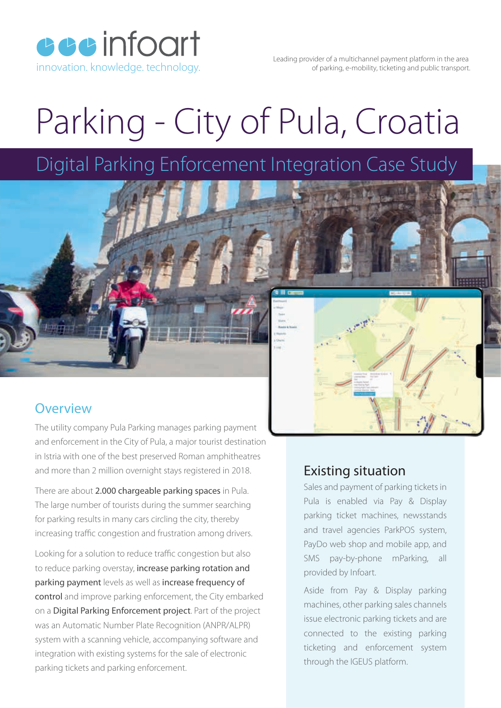**cccinfoart** 

Leading provider of a multichannel payment platform in the area innovation. knowledge. technology. The same of parking, e-mobility, ticketing and public transport.

## Parking - City of Pula, Croatia

Digital Parking Enforcement Integration Case Study



## **Overview**

The utility company Pula Parking manages parking payment and enforcement in the City of Pula, a major tourist destination in Istria with one of the best preserved Roman amphitheatres and more than 2 million overnight stays registered in 2018.

There are about 2.000 chargeable parking spaces in Pula. The large number of tourists during the summer searching for parking results in many cars circling the city, thereby increasing traffic congestion and frustration among drivers.

Looking for a solution to reduce traffic congestion but also to reduce parking overstay, increase parking rotation and parking payment levels as well as increase frequency of control and improve parking enforcement, the City embarked on a Digital Parking Enforcement project. Part of the project was an Automatic Number Plate Recognition (ANPR/ALPR) system with a scanning vehicle, accompanying software and integration with existing systems for the sale of electronic parking tickets and parking enforcement.

## Existing situation

Sales and payment of parking tickets in Pula is enabled via Pay & Display parking ticket machines, newsstands and travel agencies ParkPOS system, PayDo web shop and mobile app, and SMS pay-by-phone mParking, all provided by Infoart.

Aside from Pay & Display parking machines, other parking sales channels issue electronic parking tickets and are connected to the existing parking ticketing and enforcement system through the IGEUS platform.